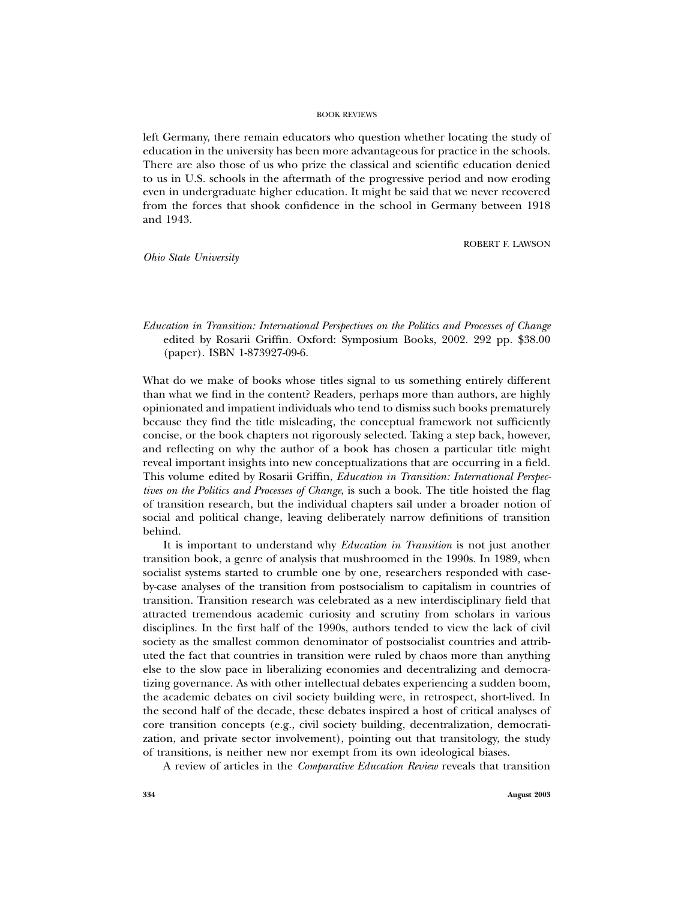left Germany, there remain educators who question whether locating the study of education in the university has been more advantageous for practice in the schools. There are also those of us who prize the classical and scientific education denied to us in U.S. schools in the aftermath of the progressive period and now eroding even in undergraduate higher education. It might be said that we never recovered from the forces that shook confidence in the school in Germany between 1918 and 1943.

*Ohio State University*

ROBERT F. LAWSON

*Education in Transition: International Perspectives on the Politics and Processes of Change* edited by Rosarii Griffin. Oxford: Symposium Books, 2002. 292 pp. \$38.00 (paper). ISBN 1-873927-09-6.

What do we make of books whose titles signal to us something entirely different than what we find in the content? Readers, perhaps more than authors, are highly opinionated and impatient individuals who tend to dismiss such books prematurely because they find the title misleading, the conceptual framework not sufficiently concise, or the book chapters not rigorously selected. Taking a step back, however, and reflecting on why the author of a book has chosen a particular title might reveal important insights into new conceptualizations that are occurring in a field. This volume edited by Rosarii Griffin, *Education in Transition: International Perspectives on the Politics and Processes of Change*, is such a book. The title hoisted the flag of transition research, but the individual chapters sail under a broader notion of social and political change, leaving deliberately narrow definitions of transition behind.

It is important to understand why *Education in Transition* is not just another transition book, a genre of analysis that mushroomed in the 1990s. In 1989, when socialist systems started to crumble one by one, researchers responded with caseby-case analyses of the transition from postsocialism to capitalism in countries of transition. Transition research was celebrated as a new interdisciplinary field that attracted tremendous academic curiosity and scrutiny from scholars in various disciplines. In the first half of the 1990s, authors tended to view the lack of civil society as the smallest common denominator of postsocialist countries and attributed the fact that countries in transition were ruled by chaos more than anything else to the slow pace in liberalizing economies and decentralizing and democratizing governance. As with other intellectual debates experiencing a sudden boom, the academic debates on civil society building were, in retrospect, short-lived. In the second half of the decade, these debates inspired a host of critical analyses of core transition concepts (e.g., civil society building, decentralization, democratization, and private sector involvement), pointing out that transitology, the study of transitions, is neither new nor exempt from its own ideological biases.

A review of articles in the *Comparative Education Review* reveals that transition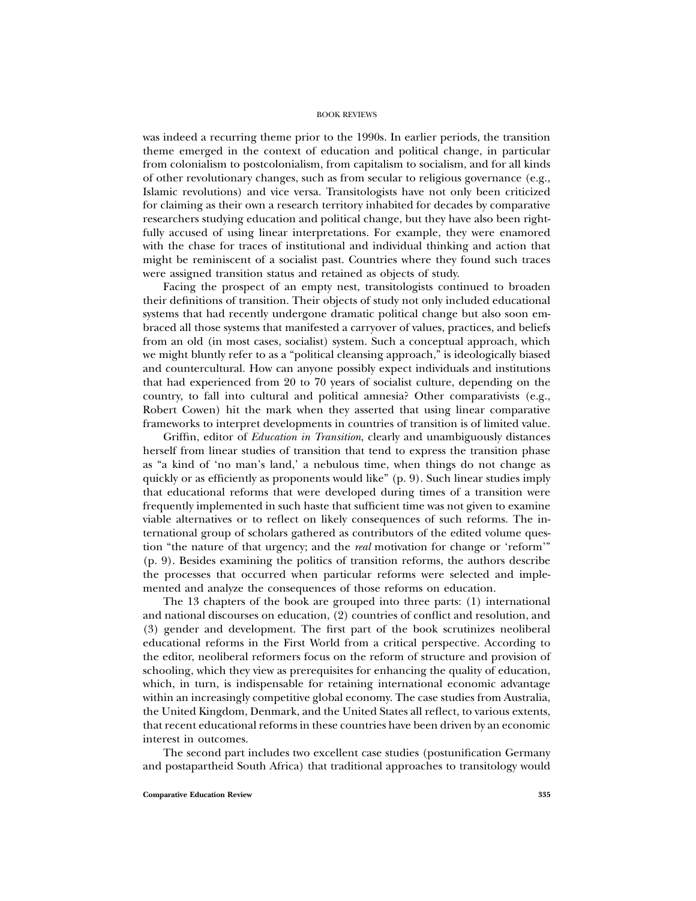was indeed a recurring theme prior to the 1990s. In earlier periods, the transition theme emerged in the context of education and political change, in particular from colonialism to postcolonialism, from capitalism to socialism, and for all kinds of other revolutionary changes, such as from secular to religious governance (e.g., Islamic revolutions) and vice versa. Transitologists have not only been criticized for claiming as their own a research territory inhabited for decades by comparative researchers studying education and political change, but they have also been rightfully accused of using linear interpretations. For example, they were enamored with the chase for traces of institutional and individual thinking and action that might be reminiscent of a socialist past. Countries where they found such traces were assigned transition status and retained as objects of study.

Facing the prospect of an empty nest, transitologists continued to broaden their definitions of transition. Their objects of study not only included educational systems that had recently undergone dramatic political change but also soon embraced all those systems that manifested a carryover of values, practices, and beliefs from an old (in most cases, socialist) system. Such a conceptual approach, which we might bluntly refer to as a "political cleansing approach," is ideologically biased and countercultural. How can anyone possibly expect individuals and institutions that had experienced from 20 to 70 years of socialist culture, depending on the country, to fall into cultural and political amnesia? Other comparativists (e.g., Robert Cowen) hit the mark when they asserted that using linear comparative frameworks to interpret developments in countries of transition is of limited value.

Griffin, editor of *Education in Transition*, clearly and unambiguously distances herself from linear studies of transition that tend to express the transition phase as "a kind of 'no man's land,' a nebulous time, when things do not change as quickly or as efficiently as proponents would like" (p. 9). Such linear studies imply that educational reforms that were developed during times of a transition were frequently implemented in such haste that sufficient time was not given to examine viable alternatives or to reflect on likely consequences of such reforms. The international group of scholars gathered as contributors of the edited volume question "the nature of that urgency; and the *real* motivation for change or 'reform'" (p. 9). Besides examining the politics of transition reforms, the authors describe the processes that occurred when particular reforms were selected and implemented and analyze the consequences of those reforms on education.

The 13 chapters of the book are grouped into three parts: (1) international and national discourses on education, (2) countries of conflict and resolution, and (3) gender and development. The first part of the book scrutinizes neoliberal educational reforms in the First World from a critical perspective. According to the editor, neoliberal reformers focus on the reform of structure and provision of schooling, which they view as prerequisites for enhancing the quality of education, which, in turn, is indispensable for retaining international economic advantage within an increasingly competitive global economy. The case studies from Australia, the United Kingdom, Denmark, and the United States all reflect, to various extents, that recent educational reforms in these countries have been driven by an economic interest in outcomes.

The second part includes two excellent case studies (postunification Germany and postapartheid South Africa) that traditional approaches to transitology would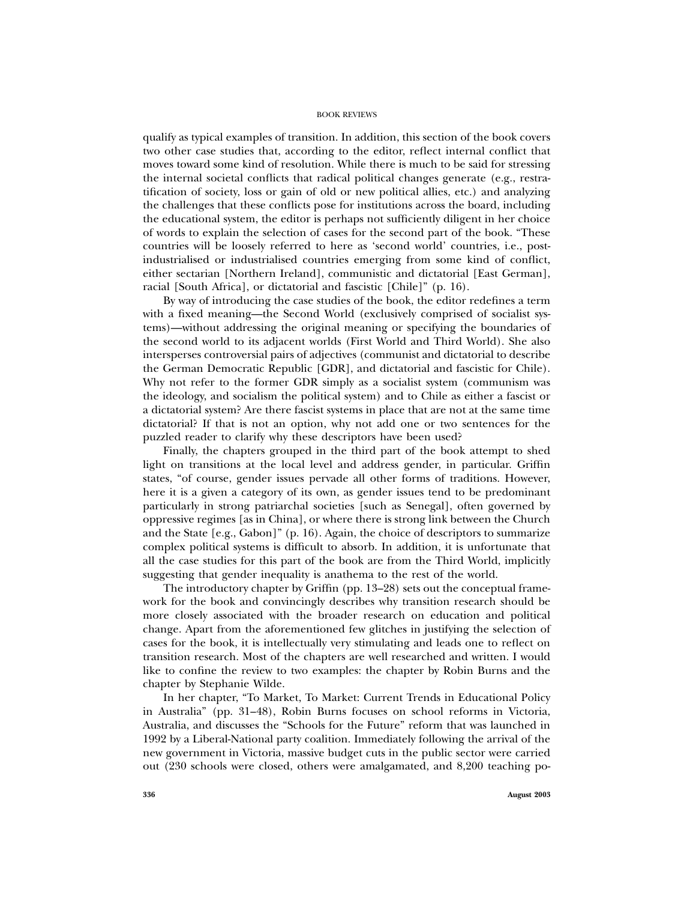qualify as typical examples of transition. In addition, this section of the book covers two other case studies that, according to the editor, reflect internal conflict that moves toward some kind of resolution. While there is much to be said for stressing the internal societal conflicts that radical political changes generate (e.g., restratification of society, loss or gain of old or new political allies, etc.) and analyzing the challenges that these conflicts pose for institutions across the board, including the educational system, the editor is perhaps not sufficiently diligent in her choice of words to explain the selection of cases for the second part of the book. "These countries will be loosely referred to here as 'second world' countries, i.e., postindustrialised or industrialised countries emerging from some kind of conflict, either sectarian [Northern Ireland], communistic and dictatorial [East German], racial [South Africa], or dictatorial and fascistic [Chile]" (p. 16).

By way of introducing the case studies of the book, the editor redefines a term with a fixed meaning—the Second World (exclusively comprised of socialist systems)—without addressing the original meaning or specifying the boundaries of the second world to its adjacent worlds (First World and Third World). She also intersperses controversial pairs of adjectives (communist and dictatorial to describe the German Democratic Republic [GDR], and dictatorial and fascistic for Chile). Why not refer to the former GDR simply as a socialist system (communism was the ideology, and socialism the political system) and to Chile as either a fascist or a dictatorial system? Are there fascist systems in place that are not at the same time dictatorial? If that is not an option, why not add one or two sentences for the puzzled reader to clarify why these descriptors have been used?

Finally, the chapters grouped in the third part of the book attempt to shed light on transitions at the local level and address gender, in particular. Griffin states, "of course, gender issues pervade all other forms of traditions. However, here it is a given a category of its own, as gender issues tend to be predominant particularly in strong patriarchal societies [such as Senegal], often governed by oppressive regimes [as in China], or where there is strong link between the Church and the State [e.g., Gabon]" (p. 16). Again, the choice of descriptors to summarize complex political systems is difficult to absorb. In addition, it is unfortunate that all the case studies for this part of the book are from the Third World, implicitly suggesting that gender inequality is anathema to the rest of the world.

The introductory chapter by Griffin (pp. 13–28) sets out the conceptual framework for the book and convincingly describes why transition research should be more closely associated with the broader research on education and political change. Apart from the aforementioned few glitches in justifying the selection of cases for the book, it is intellectually very stimulating and leads one to reflect on transition research. Most of the chapters are well researched and written. I would like to confine the review to two examples: the chapter by Robin Burns and the chapter by Stephanie Wilde.

In her chapter, "To Market, To Market: Current Trends in Educational Policy in Australia" (pp. 31–48), Robin Burns focuses on school reforms in Victoria, Australia, and discusses the "Schools for the Future" reform that was launched in 1992 by a Liberal-National party coalition. Immediately following the arrival of the new government in Victoria, massive budget cuts in the public sector were carried out (230 schools were closed, others were amalgamated, and 8,200 teaching po-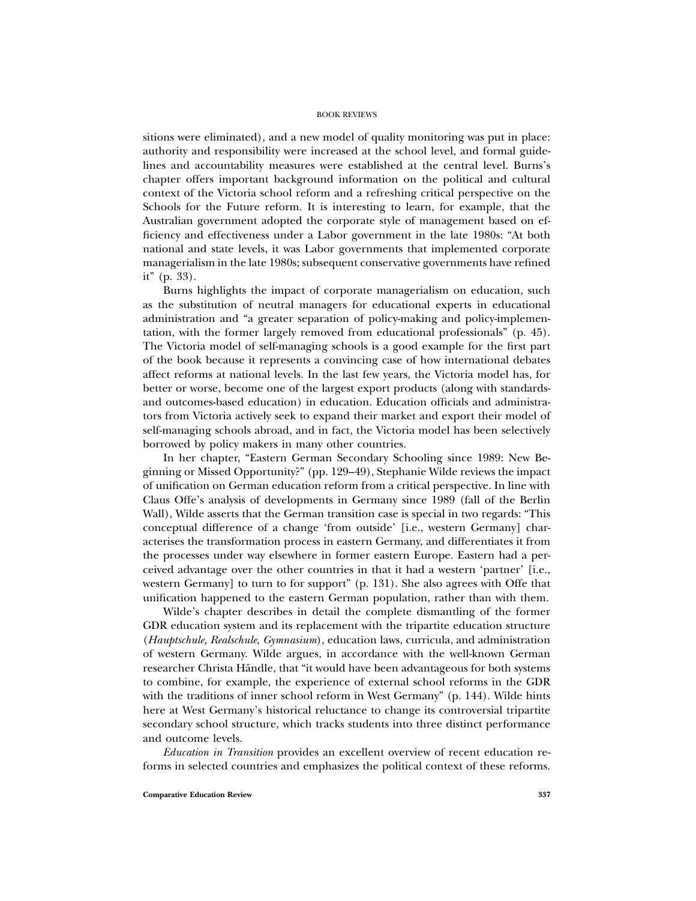sitions were eliminated), and a new model of quality monitoring was put in place: authority and responsibility were increased at the school level, and formal guidelines and accountability measures were established at the central level. Burns's chapter offers important background information on the political and cultural context of the Victoria school reform and a refreshing critical perspective on the Schools for the Future reform. It is interesting to learn, for example, that the Australian government adopted the corporate style of management based on efficiency and effectiveness under a Labor government in the late 1980s: "At both national and state levels, it was Labor governments that implemented corporate managerialism in the late 1980s; subsequent conservative governments have refined it" (p. 33).

Burns highlights the impact of corporate managerialism on education, such as the substitution of neutral managers for educational experts in educational administration and "a greater separation of policy-making and policy-implementation, with the former largely removed from educational professionals" (p. 45). The Victoria model of self-managing schools is a good example for the first part of the book because it represents a convincing case of how international debates affect reforms at national levels. In the last few years, the Victoria model has, for better or worse, become one of the largest export products (along with standardsand outcomes-based education) in education. Education officials and administrators from Victoria actively seek to expand their market and export their model of self-managing schools abroad, and in fact, the Victoria model has been selectively borrowed by policy makers in many other countries.

In her chapter, "Eastern German Secondary Schooling since 1989: New Beginning or Missed Opportunity?" (pp. 129–49), Stephanie Wilde reviews the impact of unification on German education reform from a critical perspective. In line with Claus Offe's analysis of developments in Germany since 1989 (fall of the Berlin Wall), Wilde asserts that the German transition case is special in two regards: "This conceptual difference of a change 'from outside' [i.e., western Germany] characterises the transformation process in eastern Germany, and differentiates it from the processes under way elsewhere in former eastern Europe. Eastern had a perceived advantage over the other countries in that it had a western 'partner' [i.e., western Germany] to turn to for support" (p. 131). She also agrees with Offe that unification happened to the eastern German population, rather than with them.

Wilde's chapter describes in detail the complete dismantling of the former GDR education system and its replacement with the tripartite education structure (*Hauptschule, Realschule, Gymnasium*), education laws, curricula, and administration of western Germany. Wilde argues, in accordance with the well-known German researcher Christa Händle, that "it would have been advantageous for both systems to combine, for example, the experience of external school reforms in the GDR with the traditions of inner school reform in West Germany" (p. 144). Wilde hints here at West Germany's historical reluctance to change its controversial tripartite secondary school structure, which tracks students into three distinct performance and outcome levels.

*Education in Transition* provides an excellent overview of recent education reforms in selected countries and emphasizes the political context of these reforms.